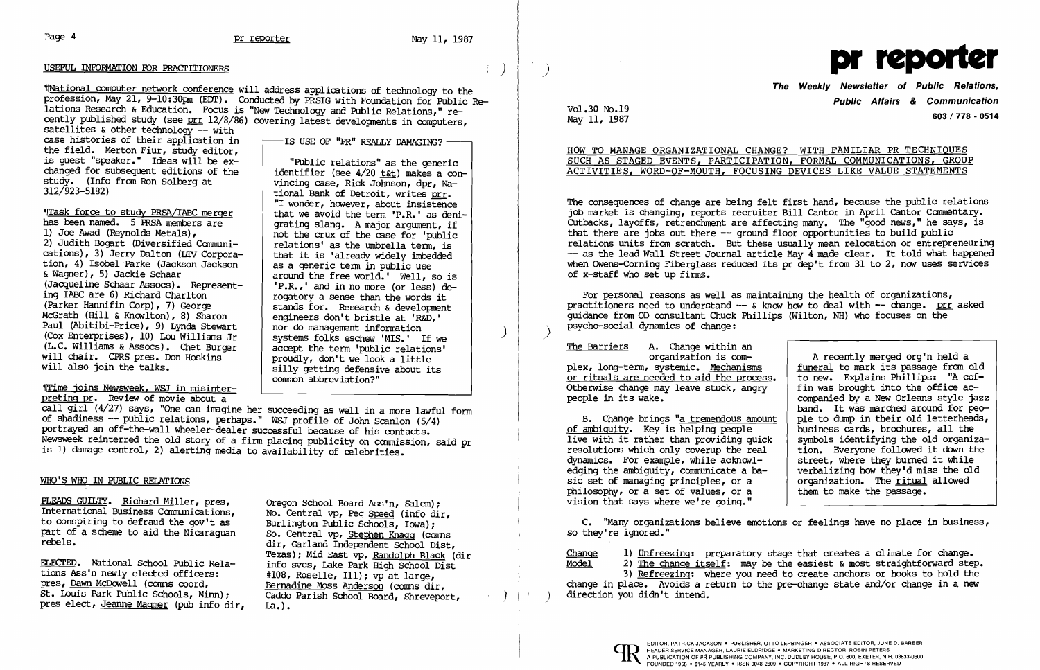# Page 4 **pr reporter pr reporter** May 11, 1987

~.National computer network conference will address applications of technology to the profession, May 21, 9-10:30pm (EDT). Conducted by PRSIG with Foundation for Public Relations Research & Education. Focus is "New Technology and Public Relations," recently published study (see prr 12/8/86) covering latest developments in computers, satellites & other technology  $-$  with

# USEFUL INFORMATION FOR PRACl'ITIONERS ) pr )

case histories of their application in the field. Merton Fiur, study editor, is guest "speaker;" Ideas will be exchanged for subsequent editions of the study. (Info from Ron Solberg at study. (Info from Ron Solberg at vincing case, Rick Johnson, dpr, Na-<br>312/923-5182) <br>tional Bank of Detroit, writes prr

 $T$ ask force to study PRSA/IABC merger<br>has been named. 5 PRSA members are  $T$  are denting slang. A major argument, if has been named. 5 PRSA members are grating slang. A major argument, if 1) Joe Awad (Reynolds Metals), 2) Judith Bogart (Diversified Communi relations' as the umbrella term, is  $\begin{array}{c|c|c|c|c|c|c|c|c} \hline \end{array}$  relations' as the umbrella term, is  $\begin{array}{c|c|c|c|c|c} \hline \end{array}$ tion, 4) Isobel Parke (Jackson Jackson a<br>& Wagner), 5) Jackie Schaar & Wagner), 5) Jackie Schaar  $\begin{array}{c|c} \text{a} & \text{a} & \text{b} \\ \text{b} & \text{c} & \text{c} \\ \text{b} & \text{c} & \text{d} & \text{d} \end{array}$  around the free world.' Well, so is (Jacqueline Schaar Assocs). Represent-  $\begin{array}{|l|} \hline \end{array}$  'P.R.,' and in no more (or less) de-<br>ing IABC are 6) Richard Charlton ing IABC are 6) Richard Charlton<br>(Parker Hannifin Corp), 7) George (estimate for Research & development) (Parker Hannifin Corp), 7) George<br>McGrath (Hill & Knowlton), 8) Sharon engineers don't bristle at 'R&D.' Paul (Abitibi-Price), 9} Lynda Stewart Paul (ADICIDI-Price), 9) Lynca Stewart nor do management information<br>(Cox Enterprises), 10) Lou Williams Jr systems folks eschew 'MIS.' If we<br>(L.C. Williams & Assocs). Chet Burger accept the term 'public relations' will chair. CPRS pres. Don Hoskins<br>will also join the talks.

engineers don't bristle at 'R&D,' nor do management information systems folks eschew 'MIS.' If we

accept the term 'public relations'<br>proudly, don't we look a little

silly getting defensive about its

'lTime joins Newsweek, WSJ in misinterpreting pr. Review of movie about a

call girl (4/27) says, "One can imagine her succeeding as well in a more lawful form of shadiness -- public relations, perhaps." W&J profile of John Scanlon (5/4) portrayed an off-the-wall wheeler-dealer successful because of his contacts. Newsweek reinterred the old story of a firm placing publicity on canmission, said pr is 1) damage control, 2) alerting media to availability of celebrities.

The Weekly Newsletter of Public Relations, Public Affairs & Communication way 11, 1987<br>May 11, 1987

common abbreviation?"

Vol.30 No.19<br>May 11, 1987

For personal reasons as well as maintaining the health of organizations, practitioners need to understand  $-$  & know how to deal with  $-$  change. prr asked guidance from OD consultant Chuck Phillips (Wilton, NH) who focuses on the psycho-social dynamics of change: )

The Barriers A. Change within an organization is com plex, long-term, systemic. Mechanisms or rituals are needed to aid the process. Otherwise change may leave stuck, angry people in its wake.

### WHO'S WHO IN PUBLIC RELATIONS

PLEADS GUILTY. Richard Miller, pres, Oregon School Board Ass'n, Salem);<br>International Business Communications. No. Central vo. Peq Speed (info dir to conspiring to defraud the gov't as<br>part of a scheme to aid the Nicaraguan<br>So. Central vp, Stephen Knagg (comms part of a scheme to aid the Nicaraguan rebels.

ELECTED. National School Public Rela-<br>tions Ass'n newly elected officers: #108, Roselle, Ill); vp at large, tions Ass'n newly elected officers:<br>pres, <u>Dawn McDowell</u> (comms coord, St. Louis Park Public Schools, Minn); Caddo pres elect, Jeanne Magmer (pub info dir, La.). pres elect, Jeanne Magmer (pub info dir,

No. Central vp, <u>Peg Speed</u> (info dir, Burlington Public Schools, Iowa); dir, Garland Independent School Dist, Texas); Mid East vp, Randolph Black (dir Bernadine Moss Anderson (comns dir, Caddo Parish School Board, Shreveport,

-IS USE OF "PR" REALLY DAMAGING? --<br>"Public relations" as the generic<br>identifier (see 4/20 t&t) makes a con-

tional Bank of Detroit, writes prr. "I wonder, however, about insistence

that it is 'already widely imbedded as a generic term in public use

2) The change itself: may be the easiest & most straightforward step. 3} Refreezing: where you need to create anchors or hooks to hold the

 $\frac{\text{Change}}{\text{Model}}$  1) Unfreezing: preparatory stage that creates a climate for change.<br>Model 2) The change itself: may be the easiest & most straightforward step change in place. Avoids a return to the pre-change state and/or change in a new direction you didn't intend.

READER SERVICE MANAGER, LAURIE ELDRIDGE . MARKETING DIRECTOR, ROBIN PETERS



## HOW TO MANAGE ORGANIZATIONAL CHANGE? WITH FAMILIAR PR TECHNIQUES SUCH AS STAGED EVENTS, PARTICIPATION, FORMAL COMMUNICATIONS, GROUP ACTIVITIES, WORD-OF-MOUTH, FOCUSING DEVICES LIKE VALUE STATEMENTS

The consequences of change are being felt first hand, because the public relations job market is changing, reports recruiter Bill Cantor in April Cantor Commentary. Cutbacks, layoffs, retrenchment are affecting many. The "good news," he says, is that there are jobs out there  $-$  ground floor opportunities to build public relations units from scratch. But these usually mean relocation or entrepreneuring  $-$  as the lead Wall Street Journal article May  $\frac{1}{4}$  made clear. It told what happened when Owens-Corning Fiberglass reduced its pr dep't from 31 to 2, now uses services of x-staff who set up firms.

| ш.     |                                       |
|--------|---------------------------------------|
|        | A recently merged org'n held a        |
| sms    | funeral to mark its passage from old  |
| ocess. | to new. Explains Phillips: "A cof-    |
| ngry   | fin was brought into the office ac-   |
|        | companied by a New Orleans style jazz |
|        | band. It was marched around for peo-  |
| amount | ple to dump in their old letterheads, |
| e      | business cards, brochures, all the    |
| quick  | symbols identifying the old organiza- |
| real   | tion. Everyone followed it down the   |
| vl-    | street, where they burned it while    |
| -ba    | verbalizing how they'd miss the old   |
| a      | organization. The ritual allowed      |
| a      | them to make the passage.             |
|        |                                       |

of ambiguity. Key is helping people B. Change brings "a tremendous amount live with it rather than providing quick resolutions which only coverup the real dynamics. For example, while  $acknormal$ edging the ambiguity, communicate a basic set of managing principles, or a  $phi$ , or a set of values, or a vision that says where we're going."

C. "Many organizations believe emotions or feelings have no place in business, so they're ignored."